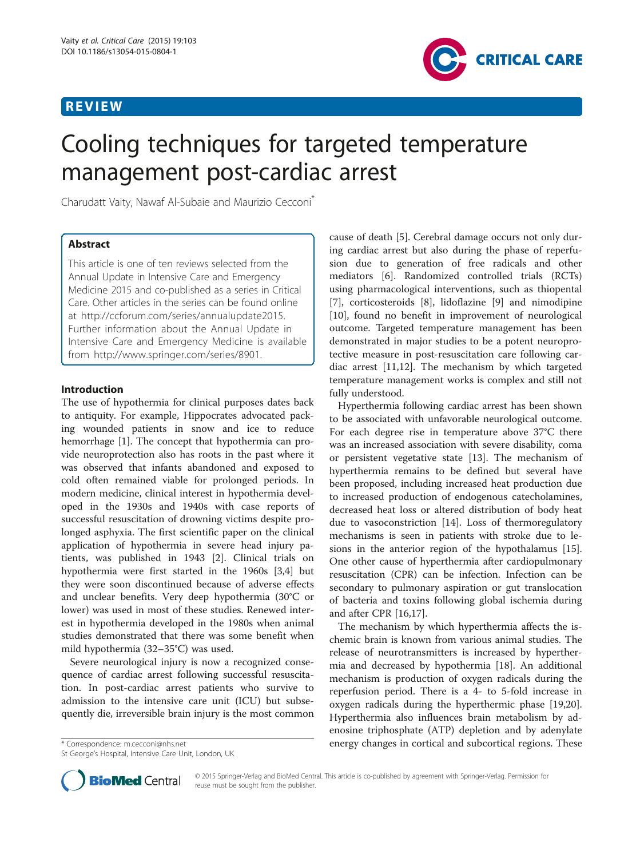# REVIEW



# Cooling techniques for targeted temperature management post-cardiac arrest

Charudatt Vaity, Nawaf Al-Subaie and Maurizio Cecconi\*

# Abstract

This article is one of ten reviews selected from the Annual Update in Intensive Care and Emergency Medicine 2015 and co-published as a series in Critical Care. Other articles in the series can be found online at<http://ccforum.com/series/annualupdate2015>. Further information about the Annual Update in Intensive Care and Emergency Medicine is available from [http://www.springer.com/series/8901.](http://www.springer.com/series/8901)

## Introduction

The use of hypothermia for clinical purposes dates back to antiquity. For example, Hippocrates advocated packing wounded patients in snow and ice to reduce hemorrhage [\[1](#page-3-0)]. The concept that hypothermia can provide neuroprotection also has roots in the past where it was observed that infants abandoned and exposed to cold often remained viable for prolonged periods. In modern medicine, clinical interest in hypothermia developed in the 1930s and 1940s with case reports of successful resuscitation of drowning victims despite prolonged asphyxia. The first scientific paper on the clinical application of hypothermia in severe head injury patients, was published in 1943 [\[2](#page-3-0)]. Clinical trials on hypothermia were first started in the 1960s [\[3](#page-3-0),[4](#page-3-0)] but they were soon discontinued because of adverse effects and unclear benefits. Very deep hypothermia (30°C or lower) was used in most of these studies. Renewed interest in hypothermia developed in the 1980s when animal studies demonstrated that there was some benefit when mild hypothermia (32–35°C) was used.

Severe neurological injury is now a recognized consequence of cardiac arrest following successful resuscitation. In post-cardiac arrest patients who survive to admission to the intensive care unit (ICU) but subsequently die, irreversible brain injury is the most common

\* Correspondence: [m.cecconi@nhs.net](mailto:m.cecconi@nhs.net)

St George's Hospital, Intensive Care Unit, London, UK

cause of death [\[5](#page-3-0)]. Cerebral damage occurs not only during cardiac arrest but also during the phase of reperfusion due to generation of free radicals and other mediators [\[6\]](#page-3-0). Randomized controlled trials (RCTs) using pharmacological interventions, such as thiopental [[7\]](#page-3-0), corticosteroids [\[8](#page-4-0)], lidoflazine [\[9](#page-4-0)] and nimodipine [[10\]](#page-4-0), found no benefit in improvement of neurological outcome. Targeted temperature management has been demonstrated in major studies to be a potent neuroprotective measure in post-resuscitation care following cardiac arrest [\[11,12](#page-4-0)]. The mechanism by which targeted temperature management works is complex and still not fully understood.

Hyperthermia following cardiac arrest has been shown to be associated with unfavorable neurological outcome. For each degree rise in temperature above 37°C there was an increased association with severe disability, coma or persistent vegetative state [[13](#page-4-0)]. The mechanism of hyperthermia remains to be defined but several have been proposed, including increased heat production due to increased production of endogenous catecholamines, decreased heat loss or altered distribution of body heat due to vasoconstriction [[14\]](#page-4-0). Loss of thermoregulatory mechanisms is seen in patients with stroke due to lesions in the anterior region of the hypothalamus [\[15](#page-4-0)]. One other cause of hyperthermia after cardiopulmonary resuscitation (CPR) can be infection. Infection can be secondary to pulmonary aspiration or gut translocation of bacteria and toxins following global ischemia during and after CPR [\[16,17](#page-4-0)].

The mechanism by which hyperthermia affects the ischemic brain is known from various animal studies. The release of neurotransmitters is increased by hyperthermia and decreased by hypothermia [[18](#page-4-0)]. An additional mechanism is production of oxygen radicals during the reperfusion period. There is a 4- to 5-fold increase in oxygen radicals during the hyperthermic phase [\[19,20](#page-4-0)]. Hyperthermia also influences brain metabolism by adenosine triphosphate (ATP) depletion and by adenylate energy changes in cortical and subcortical regions. These



© 2015 Springer-Verlag and BioMed Central. This article is co-published by agreement with Springer-Verlag. Permission for reuse must be sought from the publisher.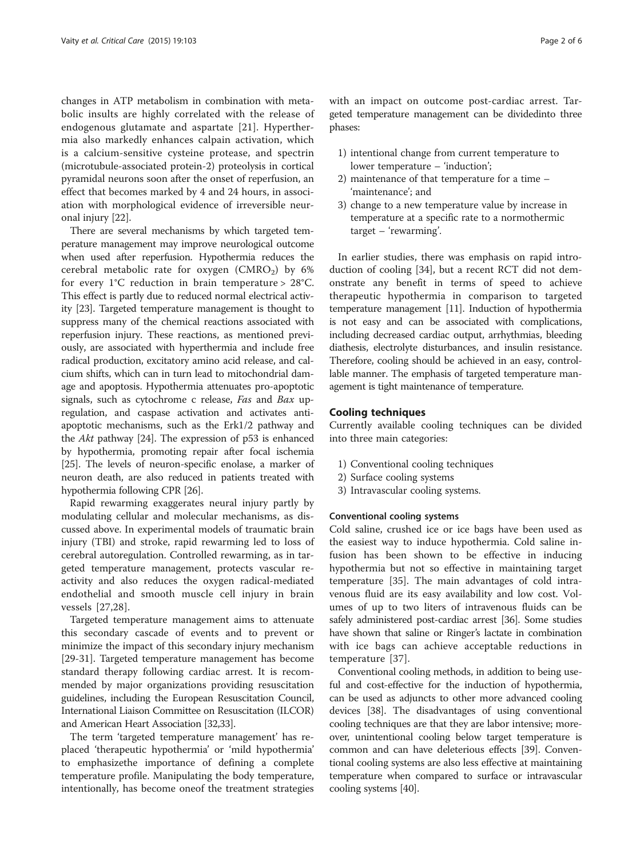changes in ATP metabolism in combination with metabolic insults are highly correlated with the release of endogenous glutamate and aspartate [[21\]](#page-4-0). Hyperthermia also markedly enhances calpain activation, which is a calcium-sensitive cysteine protease, and spectrin (microtubule-associated protein-2) proteolysis in cortical pyramidal neurons soon after the onset of reperfusion, an effect that becomes marked by 4 and 24 hours, in association with morphological evidence of irreversible neuronal injury [\[22](#page-4-0)].

There are several mechanisms by which targeted temperature management may improve neurological outcome when used after reperfusion. Hypothermia reduces the cerebral metabolic rate for oxygen  $(CMRO<sub>2</sub>)$  by 6% for every  $1^{\circ}$ C reduction in brain temperature >  $28^{\circ}$ C. This effect is partly due to reduced normal electrical activity [\[23\]](#page-4-0). Targeted temperature management is thought to suppress many of the chemical reactions associated with reperfusion injury. These reactions, as mentioned previously, are associated with hyperthermia and include free radical production, excitatory amino acid release, and calcium shifts, which can in turn lead to mitochondrial damage and apoptosis. Hypothermia attenuates pro-apoptotic signals, such as cytochrome c release, Fas and Bax upregulation, and caspase activation and activates antiapoptotic mechanisms, such as the Erk1/2 pathway and the Akt pathway [[24](#page-4-0)]. The expression of p53 is enhanced by hypothermia, promoting repair after focal ischemia [[25](#page-4-0)]. The levels of neuron-specific enolase, a marker of neuron death, are also reduced in patients treated with hypothermia following CPR [\[26\]](#page-4-0).

Rapid rewarming exaggerates neural injury partly by modulating cellular and molecular mechanisms, as discussed above. In experimental models of traumatic brain injury (TBI) and stroke, rapid rewarming led to loss of cerebral autoregulation. Controlled rewarming, as in targeted temperature management, protects vascular reactivity and also reduces the oxygen radical-mediated endothelial and smooth muscle cell injury in brain vessels [[27](#page-4-0),[28\]](#page-4-0).

Targeted temperature management aims to attenuate this secondary cascade of events and to prevent or minimize the impact of this secondary injury mechanism [[29-31](#page-4-0)]. Targeted temperature management has become standard therapy following cardiac arrest. It is recommended by major organizations providing resuscitation guidelines, including the European Resuscitation Council, International Liaison Committee on Resuscitation (ILCOR) and American Heart Association [\[32,33\]](#page-4-0).

The term 'targeted temperature management' has replaced 'therapeutic hypothermia' or 'mild hypothermia' to emphasizethe importance of defining a complete temperature profile. Manipulating the body temperature, intentionally, has become oneof the treatment strategies with an impact on outcome post-cardiac arrest. Targeted temperature management can be dividedinto three phases:

- 1) intentional change from current temperature to lower temperature – 'induction';
- 2) maintenance of that temperature for a time 'maintenance'; and
- 3) change to a new temperature value by increase in temperature at a specific rate to a normothermic target – 'rewarming'.

In earlier studies, there was emphasis on rapid introduction of cooling [[34](#page-4-0)], but a recent RCT did not demonstrate any benefit in terms of speed to achieve therapeutic hypothermia in comparison to targeted temperature management [\[11\]](#page-4-0). Induction of hypothermia is not easy and can be associated with complications, including decreased cardiac output, arrhythmias, bleeding diathesis, electrolyte disturbances, and insulin resistance. Therefore, cooling should be achieved in an easy, controllable manner. The emphasis of targeted temperature management is tight maintenance of temperature.

### Cooling techniques

Currently available cooling techniques can be divided into three main categories:

- 1) Conventional cooling techniques
- 2) Surface cooling systems
- 3) Intravascular cooling systems.

#### Conventional cooling systems

Cold saline, crushed ice or ice bags have been used as the easiest way to induce hypothermia. Cold saline infusion has been shown to be effective in inducing hypothermia but not so effective in maintaining target temperature [\[35\]](#page-4-0). The main advantages of cold intravenous fluid are its easy availability and low cost. Volumes of up to two liters of intravenous fluids can be safely administered post-cardiac arrest [[36](#page-4-0)]. Some studies have shown that saline or Ringer's lactate in combination with ice bags can achieve acceptable reductions in temperature [[37\]](#page-4-0).

Conventional cooling methods, in addition to being useful and cost-effective for the induction of hypothermia, can be used as adjuncts to other more advanced cooling devices [[38](#page-4-0)]. The disadvantages of using conventional cooling techniques are that they are labor intensive; moreover, unintentional cooling below target temperature is common and can have deleterious effects [\[39\]](#page-4-0). Conventional cooling systems are also less effective at maintaining temperature when compared to surface or intravascular cooling systems [\[40\]](#page-4-0).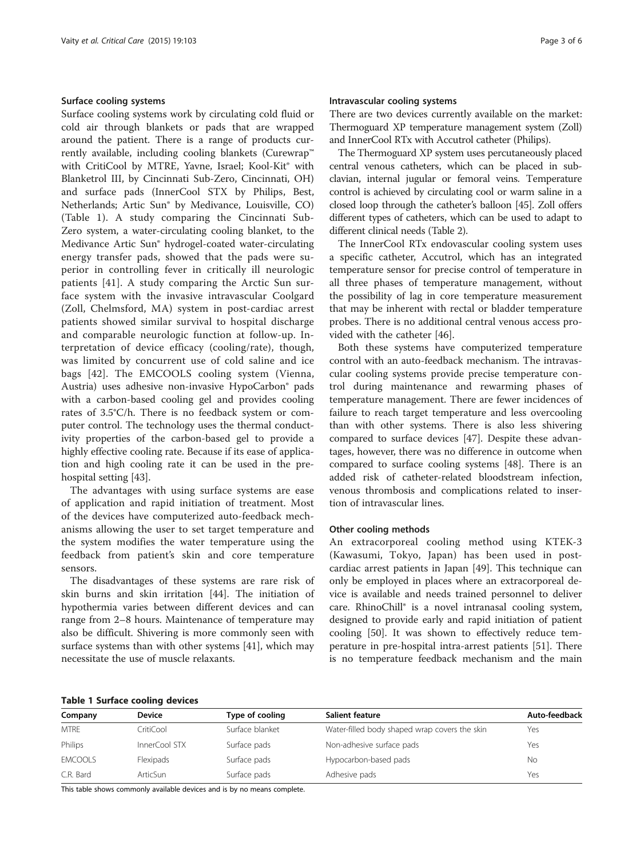#### Surface cooling systems

Surface cooling systems work by circulating cold fluid or cold air through blankets or pads that are wrapped around the patient. There is a range of products currently available, including cooling blankets (Curewrap™ with CritiCool by MTRE, Yavne, Israel; Kool-Kit® with Blanketrol III, by Cincinnati Sub-Zero, Cincinnati, OH) and surface pads (InnerCool STX by Philips, Best, Netherlands; Artic Sun® by Medivance, Louisville, CO) (Table 1). A study comparing the Cincinnati Sub-Zero system, a water-circulating cooling blanket, to the Medivance Artic Sun® hydrogel-coated water-circulating energy transfer pads, showed that the pads were superior in controlling fever in critically ill neurologic patients [[41\]](#page-4-0). A study comparing the Arctic Sun surface system with the invasive intravascular Coolgard (Zoll, Chelmsford, MA) system in post-cardiac arrest patients showed similar survival to hospital discharge and comparable neurologic function at follow-up. Interpretation of device efficacy (cooling/rate), though, was limited by concurrent use of cold saline and ice bags [[42\]](#page-4-0). The EMCOOLS cooling system (Vienna, Austria) uses adhesive non-invasive HypoCarbon® pads with a carbon-based cooling gel and provides cooling rates of 3.5°C/h. There is no feedback system or computer control. The technology uses the thermal conductivity properties of the carbon-based gel to provide a highly effective cooling rate. Because if its ease of application and high cooling rate it can be used in the prehospital setting [\[43](#page-4-0)].

The advantages with using surface systems are ease of application and rapid initiation of treatment. Most of the devices have computerized auto-feedback mechanisms allowing the user to set target temperature and the system modifies the water temperature using the feedback from patient's skin and core temperature sensors.

The disadvantages of these systems are rare risk of skin burns and skin irritation [[44\]](#page-4-0). The initiation of hypothermia varies between different devices and can range from 2–8 hours. Maintenance of temperature may also be difficult. Shivering is more commonly seen with surface systems than with other systems [[41\]](#page-4-0), which may necessitate the use of muscle relaxants.

#### Intravascular cooling systems

There are two devices currently available on the market: Thermoguard XP temperature management system (Zoll) and InnerCool RTx with Accutrol catheter (Philips).

The Thermoguard XP system uses percutaneously placed central venous catheters, which can be placed in subclavian, internal jugular or femoral veins. Temperature control is achieved by circulating cool or warm saline in a closed loop through the catheter's balloon [[45](#page-4-0)]. Zoll offers different types of catheters, which can be used to adapt to different clinical needs (Table [2\)](#page-3-0).

The InnerCool RTx endovascular cooling system uses a specific catheter, Accutrol, which has an integrated temperature sensor for precise control of temperature in all three phases of temperature management, without the possibility of lag in core temperature measurement that may be inherent with rectal or bladder temperature probes. There is no additional central venous access provided with the catheter [\[46](#page-4-0)].

Both these systems have computerized temperature control with an auto-feedback mechanism. The intravascular cooling systems provide precise temperature control during maintenance and rewarming phases of temperature management. There are fewer incidences of failure to reach target temperature and less overcooling than with other systems. There is also less shivering compared to surface devices [[47](#page-4-0)]. Despite these advantages, however, there was no difference in outcome when compared to surface cooling systems [[48](#page-4-0)]. There is an added risk of catheter-related bloodstream infection, venous thrombosis and complications related to insertion of intravascular lines.

#### Other cooling methods

An extracorporeal cooling method using KTEK-3 (Kawasumi, Tokyo, Japan) has been used in postcardiac arrest patients in Japan [\[49](#page-4-0)]. This technique can only be employed in places where an extracorporeal device is available and needs trained personnel to deliver care. RhinoChill® is a novel intranasal cooling system, designed to provide early and rapid initiation of patient cooling [[50\]](#page-4-0). It was shown to effectively reduce temperature in pre-hospital intra-arrest patients [[51](#page-4-0)]. There is no temperature feedback mechanism and the main

#### Table 1 Surface cooling devices

| Company        | <b>Device</b> | Type of cooling | Salient feature                               | Auto-feedback |
|----------------|---------------|-----------------|-----------------------------------------------|---------------|
| <b>MTRE</b>    | CritiCool     | Surface blanket | Water-filled body shaped wrap covers the skin | Yes           |
| Philips        | InnerCool STX | Surface pads    | Non-adhesive surface pads                     | Yes           |
| <b>EMCOOLS</b> | Flexipads     | Surface pads    | Hypocarbon-based pads                         | Νo            |
| C.R. Bard      | ArticSun      | Surface pads    | Adhesive pads                                 | Yes           |

This table shows commonly available devices and is by no means complete.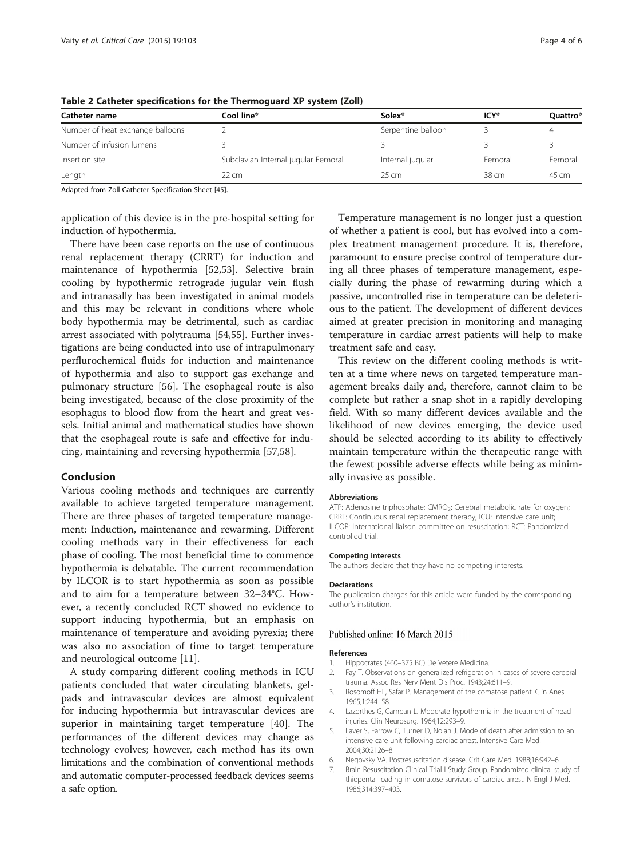| Catheter name                    | Cool line®                          | Solex <sup>®</sup> | <b>ICY®</b>      | Quattro® |
|----------------------------------|-------------------------------------|--------------------|------------------|----------|
| Number of heat exchange balloons |                                     | Serpentine balloon |                  | 4        |
| Number of infusion lumens        |                                     |                    |                  |          |
| Insertion site                   | Subclavian Internal jugular Femoral | Internal jugular   | Femoral          | Femoral  |
| Length                           | $22 \, \text{cm}$                   | $25 \text{ cm}$    | 38 <sub>cm</sub> | 45 cm    |

<span id="page-3-0"></span>Table 2 Catheter specifications for the Thermoguard XP system (Zoll)

Adapted from Zoll Catheter Specification Sheet [\[45](#page-4-0)].

application of this device is in the pre-hospital setting for induction of hypothermia.

There have been case reports on the use of continuous renal replacement therapy (CRRT) for induction and maintenance of hypothermia [[52,53\]](#page-4-0). Selective brain cooling by hypothermic retrograde jugular vein flush and intranasally has been investigated in animal models and this may be relevant in conditions where whole body hypothermia may be detrimental, such as cardiac arrest associated with polytrauma [[54,55\]](#page-4-0). Further investigations are being conducted into use of intrapulmonary perflurochemical fluids for induction and maintenance of hypothermia and also to support gas exchange and pulmonary structure [[56](#page-4-0)]. The esophageal route is also being investigated, because of the close proximity of the esophagus to blood flow from the heart and great vessels. Initial animal and mathematical studies have shown that the esophageal route is safe and effective for inducing, maintaining and reversing hypothermia [[57,58\]](#page-5-0).

#### Conclusion

Various cooling methods and techniques are currently available to achieve targeted temperature management. There are three phases of targeted temperature management: Induction, maintenance and rewarming. Different cooling methods vary in their effectiveness for each phase of cooling. The most beneficial time to commence hypothermia is debatable. The current recommendation by ILCOR is to start hypothermia as soon as possible and to aim for a temperature between 32–34°C. However, a recently concluded RCT showed no evidence to support inducing hypothermia, but an emphasis on maintenance of temperature and avoiding pyrexia; there was also no association of time to target temperature and neurological outcome [[11](#page-4-0)].

A study comparing different cooling methods in ICU patients concluded that water circulating blankets, gelpads and intravascular devices are almost equivalent for inducing hypothermia but intravascular devices are superior in maintaining target temperature [\[40](#page-4-0)]. The performances of the different devices may change as technology evolves; however, each method has its own limitations and the combination of conventional methods and automatic computer-processed feedback devices seems a safe option.

Temperature management is no longer just a question of whether a patient is cool, but has evolved into a complex treatment management procedure. It is, therefore, paramount to ensure precise control of temperature during all three phases of temperature management, especially during the phase of rewarming during which a passive, uncontrolled rise in temperature can be deleterious to the patient. The development of different devices aimed at greater precision in monitoring and managing temperature in cardiac arrest patients will help to make treatment safe and easy.

This review on the different cooling methods is written at a time where news on targeted temperature management breaks daily and, therefore, cannot claim to be complete but rather a snap shot in a rapidly developing field. With so many different devices available and the likelihood of new devices emerging, the device used should be selected according to its ability to effectively maintain temperature within the therapeutic range with the fewest possible adverse effects while being as minimally invasive as possible.

#### Abbreviations

ATP: Adenosine triphosphate; CMRO<sub>2</sub>: Cerebral metabolic rate for oxygen; CRRT: Continuous renal replacement therapy; ICU: Intensive care unit; ILCOR: International liaison committee on resuscitation; RCT: Randomized controlled trial.

#### Competing interests

The authors declare that they have no competing interests.

#### Declarations

The publication charges for this article were funded by the corresponding author's institution.

#### Published online: 16 March 2015

#### References

- Hippocrates (460–375 BC) De Vetere Medicina.
- 2. Fay T. Observations on generalized refrigeration in cases of severe cerebral trauma. Assoc Res Nerv Ment Dis Proc. 1943;24:611–9.
- 3. Rosomoff HL, Safar P. Management of the comatose patient. Clin Anes. 1965;1:244–58.
- 4. Lazorthes G, Campan L. Moderate hypothermia in the treatment of head injuries. Clin Neurosurg. 1964;12:293–9.
- 5. Laver S, Farrow C, Turner D, Nolan J. Mode of death after admission to an intensive care unit following cardiac arrest. Intensive Care Med. 2004;30:2126–8.
- 6. Negovsky VA. Postresuscitation disease. Crit Care Med. 1988;16:942–6.
- 7. Brain Resuscitation Clinical Trial I Study Group. Randomized clinical study of thiopental loading in comatose survivors of cardiac arrest. N Engl J Med. 1986;314:397–403.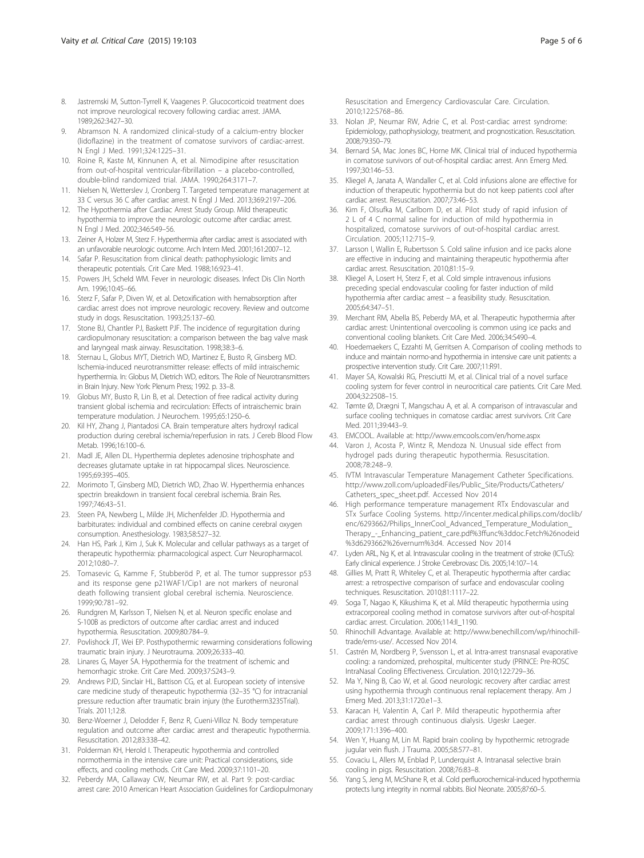- <span id="page-4-0"></span>8. Jastremski M, Sutton-Tyrrell K, Vaagenes P. Glucocorticoid treatment does not improve neurological recovery following cardiac arrest. JAMA. 1989;262:3427–30.
- 9. Abramson N. A randomized clinical-study of a calcium-entry blocker (lidoflazine) in the treatment of comatose survivors of cardiac-arrest. N Engl J Med. 1991;324:1225–31.
- 10. Roine R, Kaste M, Kinnunen A, et al. Nimodipine after resuscitation from out-of-hospital ventricular-fibrillation – a placebo-controlled, double-blind randomized trial. JAMA. 1990;264:3171–7.
- 11. Nielsen N, Wetterslev J, Cronberg T. Targeted temperature management at 33 C versus 36 C after cardiac arrest. N Engl J Med. 2013;369:2197–206.
- 12. The Hypothermia after Cardiac Arrest Study Group. Mild therapeutic hypothermia to improve the neurologic outcome after cardiac arrest. N Engl J Med. 2002;346:549–56.
- 13. Zeiner A, Holzer M, Sterz F. Hyperthermia after cardiac arrest is associated with an unfavorable neurologic outcome. Arch Intern Med. 2001;161:2007–12.
- 14. Safar P. Resuscitation from clinical death: pathophysiologic limits and therapeutic potentials. Crit Care Med. 1988;16:923–41.
- 15. Powers JH, Scheld WM. Fever in neurologic diseases. Infect Dis Clin North Am. 1996;10:45–66.
- 16. Sterz F, Safar P, Diven W, et al. Detoxification with hemabsorption after cardiac arrest does not improve neurologic recovery. Review and outcome study in dogs. Resuscitation. 1993;25:137–60.
- 17. Stone BJ, Chantler PJ, Baskett PJF. The incidence of regurgitation during cardiopulmonary resuscitation: a comparison between the bag valve mask and laryngeal mask airway. Resuscitation. 1998;38:3–6.
- 18. Sternau L, Globus MYT, Dietrich WD, Martinez E, Busto R, Ginsberg MD. Ischemia-induced neurotransmitter release: effects of mild intraischemic hyperthermia. In: Globus M, Dietrich WD, editors. The Role of Neurotransmitters in Brain Injury. New York: Plenum Press; 1992. p. 33–8.
- 19. Globus MY, Busto R, Lin B, et al. Detection of free radical activity during transient global ischemia and recirculation: Effects of intraischemic brain temperature modulation. J Neurochem. 1995;65:1250–6.
- 20. Kil HY, Zhang J, Piantadosi CA. Brain temperature alters hydroxyl radical production during cerebral ischemia/reperfusion in rats. J Cereb Blood Flow Metab. 1996;16:100–6.
- 21. Madl JE, Allen DL. Hyperthermia depletes adenosine triphosphate and decreases glutamate uptake in rat hippocampal slices. Neuroscience. 1995;69:395–405.
- 22. Morimoto T, Ginsberg MD, Dietrich WD, Zhao W. Hyperthermia enhances spectrin breakdown in transient focal cerebral ischemia. Brain Res. 1997;746:43–51.
- 23. Steen PA, Newberg L, Milde JH, Michenfelder JD. Hypothermia and barbiturates: individual and combined effects on canine cerebral oxygen consumption. Anesthesiology. 1983;58:527–32.
- 24. Han HS, Park J, Kim J, Suk K, Molecular and cellular pathways as a target of therapeutic hypothermia: pharmacological aspect. Curr Neuropharmacol. 2012;10:80–7.
- 25. Tomasevic G, Kamme F, Stubberöd P, et al. The tumor suppressor p53 and its response gene p21WAF1/Cip1 are not markers of neuronal death following transient global cerebral ischemia. Neuroscience. 1999;90:781–92.
- 26. Rundgren M, Karlsson T, Nielsen N, et al. Neuron specific enolase and S-100B as predictors of outcome after cardiac arrest and induced hypothermia. Resuscitation. 2009;80:784–9.
- 27. Povlishock JT, Wei EP. Posthypothermic rewarming considerations following traumatic brain injury. J Neurotrauma. 2009;26:333–40.
- 28. Linares G, Mayer SA. Hypothermia for the treatment of ischemic and hemorrhagic stroke. Crit Care Med. 2009;37:S243–9.
- 29. Andrews PJD, Sinclair HL, Battison CG, et al. European society of intensive care medicine study of therapeutic hypothermia (32–35 °C) for intracranial pressure reduction after traumatic brain injury (the Eurotherm3235Trial). Trials. 2011;12:8.
- 30. Benz-Woerner J, Delodder F, Benz R, Cueni-Villoz N. Body temperature regulation and outcome after cardiac arrest and therapeutic hypothermia. Resuscitation. 2012;83:338–42.
- 31. Polderman KH, Herold I. Therapeutic hypothermia and controlled normothermia in the intensive care unit: Practical considerations, side effects, and cooling methods. Crit Care Med. 2009;37:1101–20.
- 32. Peberdy MA, Callaway CW, Neumar RW, et al. Part 9: post-cardiac arrest care: 2010 American Heart Association Guidelines for Cardiopulmonary

Resuscitation and Emergency Cardiovascular Care. Circulation. 2010;122:S768–86.

- 33. Nolan JP, Neumar RW, Adrie C, et al. Post-cardiac arrest syndrome: Epidemiology, pathophysiology, treatment, and prognostication. Resuscitation. 2008;79:350–79.
- 34. Bernard SA, Mac Jones BC, Horne MK. Clinical trial of induced hypothermia in comatose survivors of out-of-hospital cardiac arrest. Ann Emerg Med. 1997;30:146–53.
- 35. Kliegel A, Janata A, Wandaller C, et al. Cold infusions alone are effective for induction of therapeutic hypothermia but do not keep patients cool after cardiac arrest. Resuscitation. 2007;73:46–53.
- 36. Kim F, Olsufka M, Carlbom D, et al. Pilot study of rapid infusion of 2 L of 4 C normal saline for induction of mild hypothermia in hospitalized, comatose survivors of out-of-hospital cardiac arrest. Circulation. 2005;112:715–9.
- 37. Larsson I, Wallin E, Rubertsson S. Cold saline infusion and ice packs alone are effective in inducing and maintaining therapeutic hypothermia after cardiac arrest. Resuscitation. 2010;81:15–9.
- 38. Kliegel A, Losert H, Sterz F, et al. Cold simple intravenous infusions preceding special endovascular cooling for faster induction of mild hypothermia after cardiac arrest – a feasibility study. Resuscitation. 2005;64:347–51.
- 39. Merchant RM, Abella BS, Peberdy MA, et al. Therapeutic hypothermia after cardiac arrest: Unintentional overcooling is common using ice packs and conventional cooling blankets. Crit Care Med. 2006;34:S490–4.
- 40. Hoedemaekers C, Ezzahti M, Gerritsen A. Comparison of cooling methods to induce and maintain normo-and hypothermia in intensive care unit patients: a prospective intervention study. Crit Care. 2007;11:R91.
- 41. Mayer SA, Kowalski RG, Presciutti M, et al. Clinical trial of a novel surface cooling system for fever control in neurocritical care patients. Crit Care Med. 2004;32:2508–15.
- 42. Tømte Ø, Drægni T, Mangschau A, et al. A comparison of intravascular and surface cooling techniques in comatose cardiac arrest survivors. Crit Care Med. 2011;39:443–9.
- 43. EMCOOL. Available at:<http://www.emcools.com/en/home.aspx>
- 44. Varon J, Acosta P, Wintz R, Mendoza N. Unusual side effect from hydrogel pads during therapeutic hypothermia. Resuscitation. 2008;78:248–9.
- 45. IVTM Intravascular Temperature Management Catheter Specifications. [http://www.zoll.com/uploadedFiles/Public\\_Site/Products/Catheters/](http://www.zoll.com/uploadedFiles/Public_Site/Products/Catheters/Catheters_spec_sheet.pdf) [Catheters\\_spec\\_sheet.pdf](http://www.zoll.com/uploadedFiles/Public_Site/Products/Catheters/Catheters_spec_sheet.pdf). Accessed Nov 2014
- 46. High performance temperature management RTx Endovascular and STx Surface Cooling Systems. [http://incenter.medical.philips.com/doclib/](http://incenter.medical.philips.com/doclib/enc/6293662/Philips_InnerCool_Advanced_Temperature_Modulation_Therapy_-_Enhancing_patient_care.pdf%3ffunc%3ddoc.Fetch%26nodeid%3d6293662%26vernum%3d4) enc/6293662/Philips\_InnerCool\_Advanced\_Temperature\_Modulation [Therapy\\_-\\_Enhancing\\_patient\\_care.pdf%3ffunc%3ddoc.Fetch%26nodeid](http://incenter.medical.philips.com/doclib/enc/6293662/Philips_InnerCool_Advanced_Temperature_Modulation_Therapy_-_Enhancing_patient_care.pdf%3ffunc%3ddoc.Fetch%26nodeid%3d6293662%26vernum%3d4) [%3d6293662%26vernum%3d4](http://incenter.medical.philips.com/doclib/enc/6293662/Philips_InnerCool_Advanced_Temperature_Modulation_Therapy_-_Enhancing_patient_care.pdf%3ffunc%3ddoc.Fetch%26nodeid%3d6293662%26vernum%3d4). Accessed Nov 2014
- 47. Lyden ARL, Ng K, et al. Intravascular cooling in the treatment of stroke (ICTuS): Early clinical experience. J Stroke Cerebrovasc Dis. 2005;14:107–14.
- 48. Gillies M, Pratt R, Whiteley C, et al. Therapeutic hypothermia after cardiac arrest: a retrospective comparison of surface and endovascular cooling techniques. Resuscitation. 2010;81:1117–22.
- 49. Soga T, Nagao K, Kikushima K, et al. Mild therapeutic hypothermia using extracorporeal cooling method in comatose survivors after out-of-hospital cardiac arrest. Circulation. 2006;114:II\_1190.
- 50. Rhinochill Advantage. Available at: [http://www.benechill.com/wp/rhinochill](http://www.benechill.com/wp/rhinochill-trade/ems-use/)[trade/ems-use/.](http://www.benechill.com/wp/rhinochill-trade/ems-use/) Accessed Nov 2014.
- 51. Castrén M, Nordberg P, Svensson L, et al. Intra-arrest transnasal evaporative cooling: a randomized, prehospital, multicenter study (PRINCE: Pre-ROSC IntraNasal Cooling Effectiveness. Circulation. 2010;122:729–36.
- 52. Ma Y, Ning B, Cao W, et al. Good neurologic recovery after cardiac arrest using hypothermia through continuous renal replacement therapy. Am J Emerg Med. 2013;31:1720.e1–3.
- 53. Karacan H, Valentin A, Carl P. Mild therapeutic hypothermia after cardiac arrest through continuous dialysis. Ugeskr Laeger. 2009;171:1396–400.
- 54. Wen Y, Huang M, Lin M. Rapid brain cooling by hypothermic retrograde jugular vein flush. J Trauma. 2005;58:577–81.
- 55. Covaciu L, Allers M, Enblad P, Lunderquist A. Intranasal selective brain cooling in pigs. Resuscitation. 2008;76:83–8.
- 56. Yang S, Jeng M, McShane R, et al. Cold perfluorochemical-induced hypothermia protects lung integrity in normal rabbits. Biol Neonate. 2005;87:60–5.